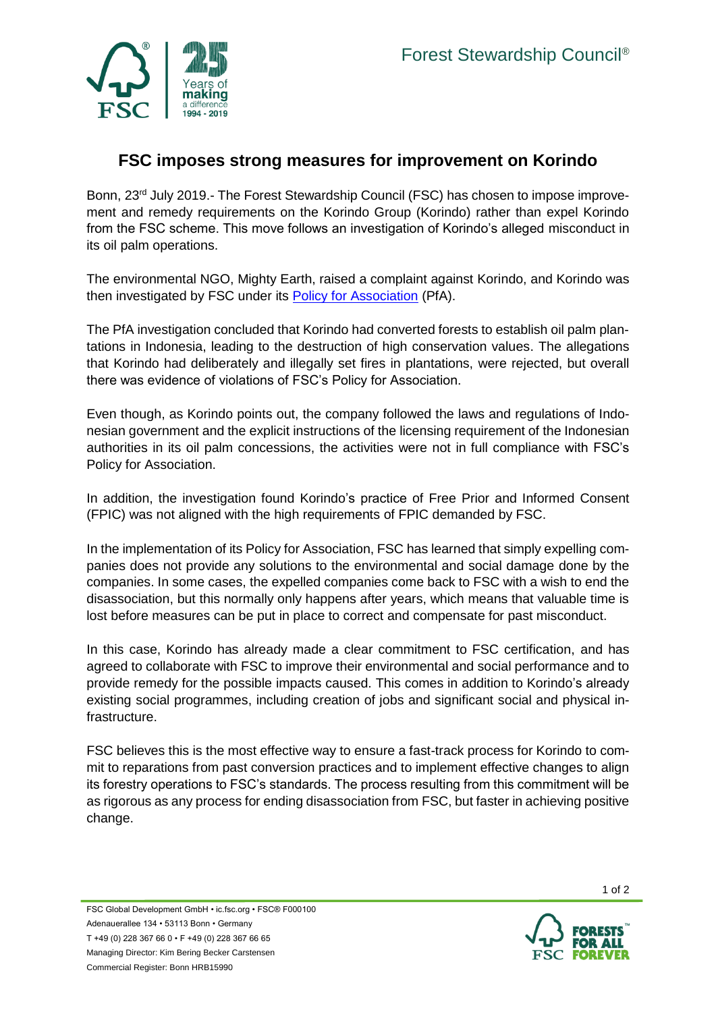

## **FSC imposes strong measures for improvement on Korindo**

Bonn, 23<sup>rd</sup> July 2019.- The Forest Stewardship Council (FSC) has chosen to impose improvement and remedy requirements on the Korindo Group (Korindo) rather than expel Korindo from the FSC scheme. This move follows an investigation of Korindo's alleged misconduct in its oil palm operations.

The environmental NGO, Mighty Earth, raised a complaint against Korindo, and Korindo was then investigated by FSC under its [Policy for Association](https://ic.fsc.org/en/document-center/id/30) (PfA).

The PfA investigation concluded that Korindo had converted forests to establish oil palm plantations in Indonesia, leading to the destruction of high conservation values. The allegations that Korindo had deliberately and illegally set fires in plantations, were rejected, but overall there was evidence of violations of FSC's Policy for Association.

Even though, as Korindo points out, the company followed the laws and regulations of Indonesian government and the explicit instructions of the licensing requirement of the Indonesian authorities in its oil palm concessions, the activities were not in full compliance with FSC's Policy for Association.

In addition, the investigation found Korindo's practice of Free Prior and Informed Consent (FPIC) was not aligned with the high requirements of FPIC demanded by FSC.

In the implementation of its Policy for Association, FSC has learned that simply expelling companies does not provide any solutions to the environmental and social damage done by the companies. In some cases, the expelled companies come back to FSC with a wish to end the disassociation, but this normally only happens after years, which means that valuable time is lost before measures can be put in place to correct and compensate for past misconduct.

In this case, Korindo has already made a clear commitment to FSC certification, and has agreed to collaborate with FSC to improve their environmental and social performance and to provide remedy for the possible impacts caused. This comes in addition to Korindo's already existing social programmes, including creation of jobs and significant social and physical infrastructure.

FSC believes this is the most effective way to ensure a fast-track process for Korindo to commit to reparations from past conversion practices and to implement effective changes to align its forestry operations to FSC's standards. The process resulting from this commitment will be as rigorous as any process for ending disassociation from FSC, but faster in achieving positive change.